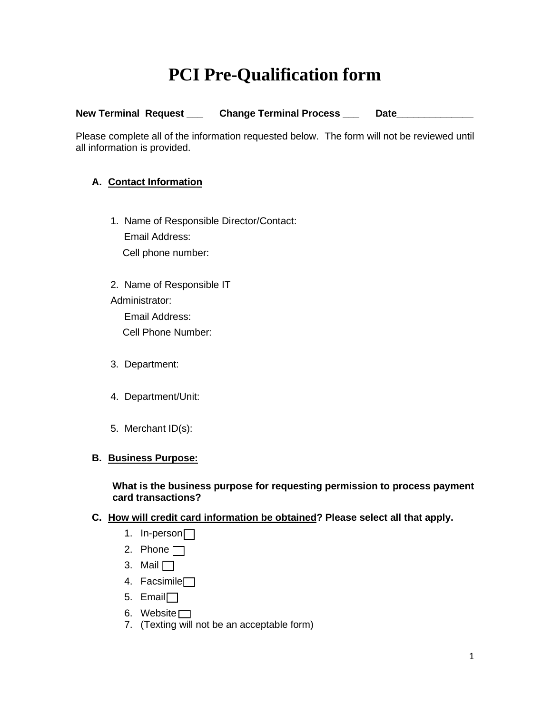# **PCI Pre-Qualification form**

| <b>New Terminal Request</b> | <b>Change Terminal Process</b> | Date |
|-----------------------------|--------------------------------|------|
|                             |                                |      |

Please complete all of the information requested below. The form will not be reviewed until all information is provided.

# **A. Contact Information**

- 1. Name of Responsible Director/Contact: Email Address: Cell phone number:
- 2. Name of Responsible IT Administrator: Email Address:

Cell Phone Number:

- 3. Department:
- 4. Department/Unit:
- 5. Merchant ID(s):

# **B. Business Purpose:**

### **What is the business purpose for requesting permission to process payment card transactions?**

# **C. How will credit card information be obtained? Please select all that apply.**

- 1. In-person<sup>[1]</sup>
- 2. Phone  $\Box$
- 3. Mail  $\Box$
- 4. Facsimile<sup>[1]</sup>
- 5. Email
- 6. Website
- 7. (Texting will not be an acceptable form)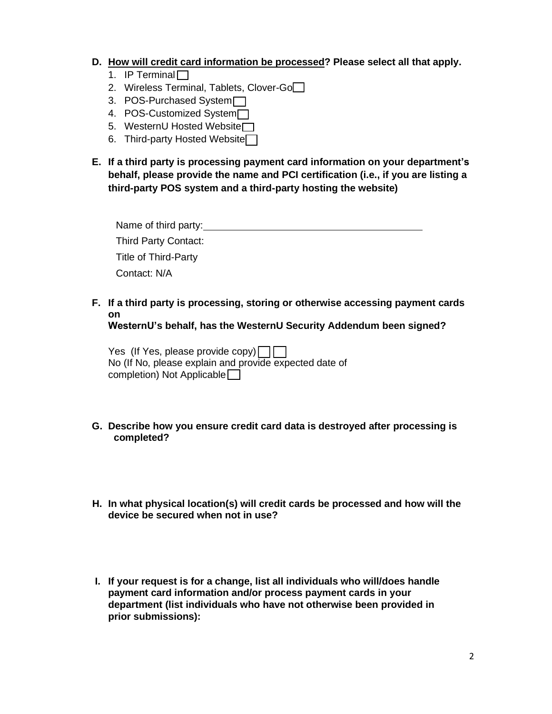#### **D. How will credit card information be processed? Please select all that apply.**

- 1. IP Terminal
- 2. Wireless Terminal, Tablets, Clover-Go
- 3. POS-Purchased System
- 4. POS-Customized System<sup>-1</sup>
- 5. WesternU Hosted Website<sup>1</sup>
- 6. Third-party Hosted Website
- **E. If a third party is processing payment card information on your department's behalf, please provide the name and PCI certification (i.e., if you are listing a third-party POS system and a third-party hosting the website)**

| Name of third party:        |  |
|-----------------------------|--|
| <b>Third Party Contact:</b> |  |
| Title of Third-Party        |  |
| Contact: N/A                |  |

**F. If a third party is processing, storing or otherwise accessing payment cards on**

**WesternU's behalf, has the WesternU Security Addendum been signed?**

Yes (If Yes, please provide copy) $\Box$ No (If No, please explain and provide expected date of completion) Not Applicable

- **G. Describe how you ensure credit card data is destroyed after processing is completed?**
- **H. In what physical location(s) will credit cards be processed and how will the device be secured when not in use?**
- **I. If your request is for a change, list all individuals who will/does handle payment card information and/or process payment cards in your department (list individuals who have not otherwise been provided in prior submissions):**